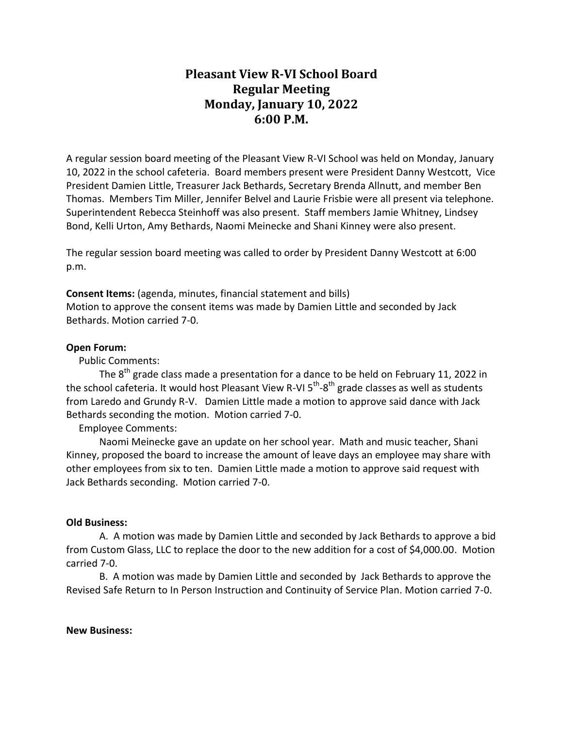## **Pleasant View R-VI School Board Regular Meeting Monday, January 10, 2022 6:00 P.M.**

A regular session board meeting of the Pleasant View R-VI School was held on Monday, January 10, 2022 in the school cafeteria. Board members present were President Danny Westcott, Vice President Damien Little, Treasurer Jack Bethards, Secretary Brenda Allnutt, and member Ben Thomas. Members Tim Miller, Jennifer Belvel and Laurie Frisbie were all present via telephone. Superintendent Rebecca Steinhoff was also present. Staff members Jamie Whitney, Lindsey Bond, Kelli Urton, Amy Bethards, Naomi Meinecke and Shani Kinney were also present.

The regular session board meeting was called to order by President Danny Westcott at 6:00 p.m.

**Consent Items:** (agenda, minutes, financial statement and bills) Motion to approve the consent items was made by Damien Little and seconded by Jack Bethards. Motion carried 7-0.

## **Open Forum:**

Public Comments:

The  $8<sup>th</sup>$  grade class made a presentation for a dance to be held on February 11, 2022 in the school cafeteria. It would host Pleasant View R-VI 5<sup>th</sup>-8<sup>th</sup> grade classes as well as students from Laredo and Grundy R-V. Damien Little made a motion to approve said dance with Jack Bethards seconding the motion. Motion carried 7-0.

Employee Comments:

Naomi Meinecke gave an update on her school year. Math and music teacher, Shani Kinney, proposed the board to increase the amount of leave days an employee may share with other employees from six to ten. Damien Little made a motion to approve said request with Jack Bethards seconding. Motion carried 7-0.

## **Old Business:**

A. A motion was made by Damien Little and seconded by Jack Bethards to approve a bid from Custom Glass, LLC to replace the door to the new addition for a cost of \$4,000.00. Motion carried 7-0.

B. A motion was made by Damien Little and seconded by Jack Bethards to approve the Revised Safe Return to In Person Instruction and Continuity of Service Plan. Motion carried 7-0.

**New Business:**